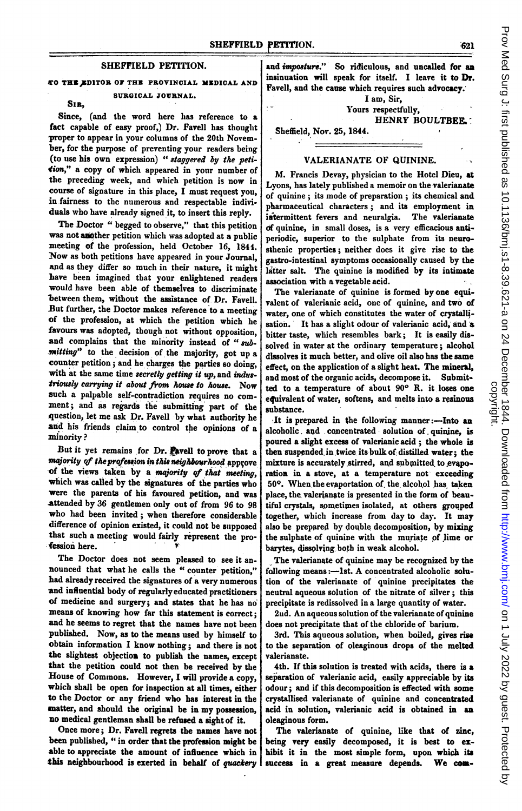## SHEFFIELD PETITION.

## CO TRH,1DlTOR OF THU PROVINCIAL MEDICAL AND SURGICAL JOURNAL.

### SIR,

Since, (and the word here has reference to a fact capable of easy proof,) Dr. Favell has thought proper to appear in your columns of the 20th November, for the purpose of preventing your readers being (to use his own expression) " staggered by the petition," a copy of which appeared in your number of the preceding week, and which petition is now in course of signature in this place, <sup>I</sup> must request you, in fairness to the numerous and respectable individuals who have already signed it, to insert this reply.

The Doctor " begged to observe," that this petition was not another petition which was adopted at a public meeting of the profession, held October 16, 1844. Now as both petitions have appeared in your Journal, and as they differ so much in their nature, it might have been imagined that your enlightened readers would have been able of themselves to discriminate between them, without the assistance of Dr. Favell. But further, the Doctor makes reference to <sup>a</sup> meeting of the profession, at which the petition wbich he favours was adopted, though not without opposition, and complains that the minority instead of "submitting" to the decision of the majority, got up a counter petition; and he charges the parties so doing, with at the same time secretly getting it up, and industriously carrying it about from house to house. Now such a palpable self-contradiction requires no comment; and as regards the submitting part of the question, let me ask Dr. Favell by what autbority he and his friends claim to control the opinions of a minority?

But it yet remains for Dr. Pavell to prove that a majority of the profession in this neighbourhood approve of the views taken by a majority of that meeting, which was called by the signatures of the parties who were the parents of his favoured petition, and was attended by 36 gentlemen only out of from 96 to 98 who had been invited; when therefore considerable difference of opinion existed, it could not be supposed that such a meeting would fairly represent the profession here.

The Doctor does not seem pleased to see it announced that wbat he calls the " counter petition," had already received the signatures of <sup>a</sup> very numerous and influential body of regularlyeducated practitioners of medicine and surgery; and states that he has no means of knowing how far this statement is correct; and he seems to regret that the names have not been published. Now, as to the means used by himself to obtain information <sup>I</sup> know nothing; and there is not the slightest objectios to publish the names, except that the petition could not then be received by the House of Commons. However, I will provide a copy, which shall be open for inspection at all times, either to the Doctor or any friend who has interest in the matter, and should the original be in my possession, no medical gentleman shall be refused a sight of it.

Once more; Dr. Favell regrets the names have not been published, " in order that the profesion might be able to appreciate the amount of influence which in this neighbourhood is exerted in behalf of quackery

and *imposture.*" So ridiculous, and uncalled for an insinuation will speak for itself. I leave it to Dr. Favell, and the cause which requires such advocacy.

I am, Sir, Yours respectfully,

HENRY BOULTBEE.

# Sheffield, Nor. 25, 1844.

## VALERIANATE OF QUININE.

M. Francis Devay, physician to the Hotel Dieu, at Lyons, has lately published a memoir on the valerianate of quinine; its mode of preparation; its chemical and pharmaceutical characters; and its employment in intermittent fevers and neuralgia. The valerianate df quinine, in small doses, is a very efficacious antiperiodic, superior to the sulphate from its neurosthenic properties; neither does it give rise to the gastro-intestinal symptoms occasionally caused by the latter salt. The quinine is modified by its intimate association with a vegetable acid.

The valerianate of quinine is formed by one equivalent of valerianic acid, one of quinine, and two of water, one of which constitutes the water of crystalljsation. It has a slight odour of valerianic acid, and a bitter taste, which resembles bark; It is easily dissolved in water at the ordinary temperature; alcohol dissolves it much better, and olive oil also has the same effect, on the application of a slight heat. The mineral, and most of the organic acids, decompose it. Submitted to a temperature of about 90° R. it loses one equivalent of water, softens, and melts into a resinous substance.

It is prepared in the following manner:-Into an alcoholic. and concentrated solution of quinine, is poured a slight excess of valerianic acid; the whole is then suspended in twice its bulk of distilled water; the mixture is accurately stirred, and submitted to evaporation in a stove, at a temperature not exceeding 50°. When the evaportation of the alcohol has taken place, the valerianate is presented in the form of beautiful crystals, sometimes isolated, at others grouped together, which increase from day to day. It may also be prepared by double decomposition, by mixing the sulphate of quinine with the muriate of lime or barytes, dissplving both in weak alcohol.

The valerianate of quinine may be recognized by the following means:-lst. A concentrated alcoholic solution of the valerianate of quinine precipitates the neutral aqueous solution of the nitrate of silver; this precipitate is redissolved in a large quantity of water.

2nd. An aqueous solution of the valerianate of quinine does not precipitate that of the chloride of barium.

3rd. This aqueous solution, when boiled, gives rise to the separation of oleaginous drops of the melted valerianate.

4th. If this solution is treated with acids, there is a separation of valerianic acid, easily appreciable by its odour; and if this decomposition is effected with some crystallised valerianate of quinine and concentrated acid in solution, valerianic acid is obtained in an oleaginous form.

The valerianate of quinine, like that of zinc, being very easily decomposed, it is best to exhibit it in the most simple form, upon which its success in a great measure depends. We com